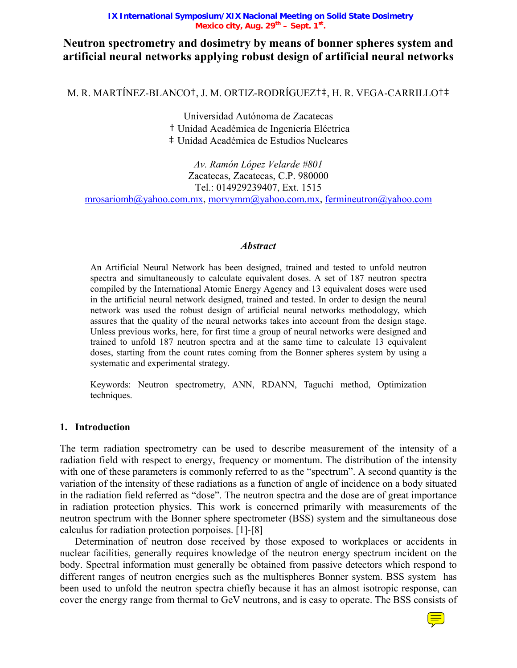#### **IX International Symposium/XIX Nacional Meeting on Solid State Dosimetry**  Mexico city, Aug. 29<sup>th</sup> – Sept. 1<sup>st</sup>.

# **Neutron spectrometry and dosimetry by means of bonner spheres system and artificial neural networks applying robust design of artificial neural networks**

M. R. MARTÍNEZ-BLANCO†, J. M. ORTIZ-RODRÍGUEZ†‡, H. R. VEGA-CARRILLO†‡

Universidad Autónoma de Zacatecas † Unidad Académica de Ingeniería Eléctrica ‡ Unidad Académica de Estudios Nucleares

*Av. Ramón López Velarde #801*  Zacatecas, Zacatecas, C.P. 980000 Tel.: 014929239407, Ext. 1515

mrosariomb@yahoo.com.mx, morvymm@yahoo.com.mx, fermineutron@yahoo.com

### *Abstract*

An Artificial Neural Network has been designed, trained and tested to unfold neutron spectra and simultaneously to calculate equivalent doses. A set of 187 neutron spectra compiled by the International Atomic Energy Agency and 13 equivalent doses were used in the artificial neural network designed, trained and tested. In order to design the neural network was used the robust design of artificial neural networks methodology, which assures that the quality of the neural networks takes into account from the design stage. Unless previous works, here, for first time a group of neural networks were designed and trained to unfold 187 neutron spectra and at the same time to calculate 13 equivalent doses, starting from the count rates coming from the Bonner spheres system by using a systematic and experimental strategy.

Keywords: Neutron spectrometry, ANN, RDANN, Taguchi method, Optimization techniques.

### **1. Introduction**

The term radiation spectrometry can be used to describe measurement of the intensity of a radiation field with respect to energy, frequency or momentum. The distribution of the intensity with one of these parameters is commonly referred to as the "spectrum". A second quantity is the variation of the intensity of these radiations as a function of angle of incidence on a body situated in the radiation field referred as "dose". The neutron spectra and the dose are of great importance in radiation protection physics. This work is concerned primarily with measurements of the neutron spectrum with the Bonner sphere spectrometer (BSS) system and the simultaneous dose calculus for radiation protection porpoises. [1]-[8]

Determination of neutron dose received by those exposed to workplaces or accidents in nuclear facilities, generally requires knowledge of the neutron energy spectrum incident on the body. Spectral information must generally be obtained from passive detectors which respond to different ranges of neutron energies such as the multispheres Bonner system. BSS system has been used to unfold the neutron spectra chiefly because it has an almost isotropic response, can cover the energy range from thermal to GeV neutrons, and is easy to operate. The BSS consists of

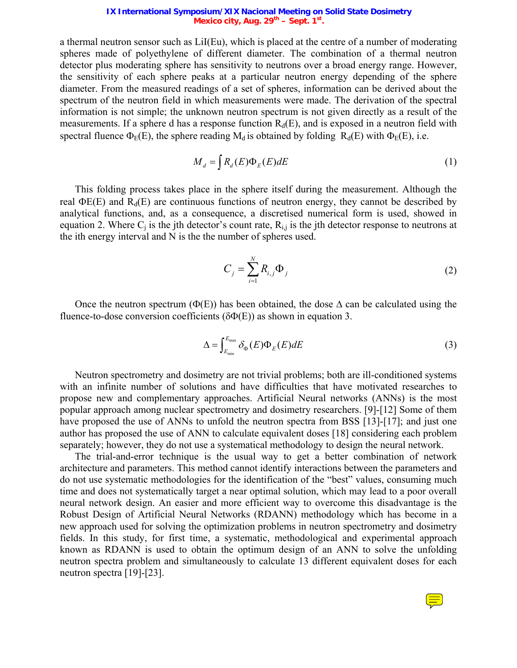#### **IX International Symposium/XIX Nacional Meeting on Solid State Dosimetry**  Mexico city, Aug. 29<sup>th</sup> – Sept. 1<sup>st</sup>.

a thermal neutron sensor such as LiI(Eu), which is placed at the centre of a number of moderating spheres made of polyethylene of different diameter. The combination of a thermal neutron detector plus moderating sphere has sensitivity to neutrons over a broad energy range. However, the sensitivity of each sphere peaks at a particular neutron energy depending of the sphere diameter. From the measured readings of a set of spheres, information can be derived about the spectrum of the neutron field in which measurements were made. The derivation of the spectral information is not simple; the unknown neutron spectrum is not given directly as a result of the measurements. If a sphere d has a response function  $R_d(E)$ , and is exposed in a neutron field with spectral fluence  $\Phi_F(E)$ , the sphere reading M<sub>d</sub> is obtained by folding R<sub>d</sub>(E) with  $\Phi_F(E)$ , i.e.

$$
M_d = \int R_d(E)\Phi_E(E)dE \tag{1}
$$

This folding process takes place in the sphere itself during the measurement. Although the real  $\Phi$ E(E) and R<sub>d</sub>(E) are continuous functions of neutron energy, they cannot be described by analytical functions, and, as a consequence, a discretised numerical form is used, showed in equation 2. Where  $C_i$  is the jth detector's count rate,  $R_{i,j}$  is the jth detector response to neutrons at the ith energy interval and N is the the number of spheres used.

$$
C_{j} = \sum_{i=1}^{N} R_{i,j} \Phi_{j}
$$
 (2)

Once the neutron spectrum ( $\Phi(E)$ ) has been obtained, the dose  $\Delta$  can be calculated using the fluence-to-dose conversion coefficients ( $\delta \Phi(E)$ ) as shown in equation 3.

$$
\Delta = \int_{E_{\text{min}}}^{E_{\text{max}}} \delta_{\Phi}(E) \Phi_E(E) dE \tag{3}
$$

Neutron spectrometry and dosimetry are not trivial problems; both are ill-conditioned systems with an infinite number of solutions and have difficulties that have motivated researches to propose new and complementary approaches. Artificial Neural networks (ANNs) is the most popular approach among nuclear spectrometry and dosimetry researchers. [9]-[12] Some of them have proposed the use of ANNs to unfold the neutron spectra from BSS [13]-[17]; and just one author has proposed the use of ANN to calculate equivalent doses [18] considering each problem separately; however, they do not use a systematical methodology to design the neural network.

The trial-and-error technique is the usual way to get a better combination of network architecture and parameters. This method cannot identify interactions between the parameters and do not use systematic methodologies for the identification of the "best" values, consuming much time and does not systematically target a near optimal solution, which may lead to a poor overall neural network design. An easier and more efficient way to overcome this disadvantage is the Robust Design of Artificial Neural Networks (RDANN) methodology which has become in a new approach used for solving the optimization problems in neutron spectrometry and dosimetry fields. In this study, for first time, a systematic, methodological and experimental approach known as RDANN is used to obtain the optimum design of an ANN to solve the unfolding neutron spectra problem and simultaneously to calculate 13 different equivalent doses for each neutron spectra [19]-[23].

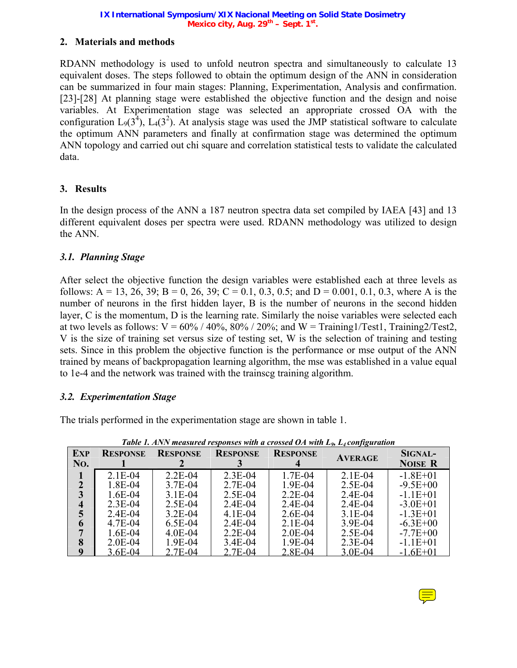# **2. Materials and methods**

RDANN methodology is used to unfold neutron spectra and simultaneously to calculate 13 equivalent doses. The steps followed to obtain the optimum design of the ANN in consideration can be summarized in four main stages: Planning, Experimentation, Analysis and confirmation. [23]-[28] At planning stage were established the objective function and the design and noise variables. At Experimentation stage was selected an appropriate crossed OA with the configuration  $L_9(3^4)$ ,  $L_4(3^2)$ . At analysis stage was used the JMP statistical software to calculate the optimum ANN parameters and finally at confirmation stage was determined the optimum ANN topology and carried out chi square and correlation statistical tests to validate the calculated data.

# **3. Results**

In the design process of the ANN a 187 neutron spectra data set compiled by IAEA [43] and 13 different equivalent doses per spectra were used. RDANN methodology was utilized to design the ANN.

# *3.1. Planning Stage*

After select the objective function the design variables were established each at three levels as follows: A = 13, 26, 39; B = 0, 26, 39; C = 0.1, 0.3, 0.5; and D = 0.001, 0.1, 0.3, where A is the number of neurons in the first hidden layer, B is the number of neurons in the second hidden layer, C is the momentum, D is the learning rate. Similarly the noise variables were selected each at two levels as follows:  $V = 60\% / 40\%$ ,  $80\% / 20\%$ ; and  $W = \text{Training1/Test1}$ ,  $\text{Training2/Test2}$ , V is the size of training set versus size of testing set, W is the selection of training and testing sets. Since in this problem the objective function is the performance or mse output of the ANN trained by means of backpropagation learning algorithm, the mse was established in a value equal to 1e-4 and the network was trained with the trainscg training algorithm.

### *3.2. Experimentation Stage*

The trials performed in the experimentation stage are shown in table 1.

| <b>EXP</b><br>No. | <b>RESPONSE</b> | <b>RESPONSE</b> | <b>RESPONSE</b> | <b>RESPONSE</b> | <b>AVERAGE</b> | SIGNAL-<br><b>NOISE R</b> |
|-------------------|-----------------|-----------------|-----------------|-----------------|----------------|---------------------------|
|                   | $2.1E-04$       | $2.2E-04$       | $2.3E-04$       | 1.7E-04         | $2.1E-04$      | $-1.8E + 01$              |
| 2                 | 1.8E-04         | 3.7E-04         | 2.7E-04         | 1.9E-04         | $2.5E-04$      | $-9.5E+00$                |
| 3                 | $1.6E-04$       | $3.1E-04$       | 2.5E-04         | $2.2E-04$       | $2.4E-04$      | $-1.1E+01$                |
| 4                 | $2.3E-04$       | 2.5E-04         | $2.4E-04$       | $2.4E-04$       | $2.4E-04$      | $-3.0E+01$                |
| 5                 | $2.4E-04$       | $3.2E-04$       | $4.1E-04$       | $2.6E-04$       | $3.1E-04$      | $-1.3E+01$                |
| 6                 | 4.7E-04         | $6.5E-04$       | $2.4E-04$       | $2.1E-04$       | 3.9E-04        | $-6.3E + 00$              |
|                   | $1.6E-04$       | $4.0E - 04$     | $2.2E-04$       | $2.0E-04$       | 2.5E-04        | $-7.7E+00$                |
| 8                 | $2.0E-04$       | 1.9E-04         | 3.4E-04         | 1.9E-04         | $2.3E-04$      | $-1.1E+01$                |
| Q                 | 3.6E-04         | 2.7E-04         | 2.7E-04         | 2.8E-04         | 3.0E-04        | $-1.6E+01$                |

*Table 1. ANN measured responses with a crossed OA with L<sub>9</sub>, L<sub>4</sub> configuration* 

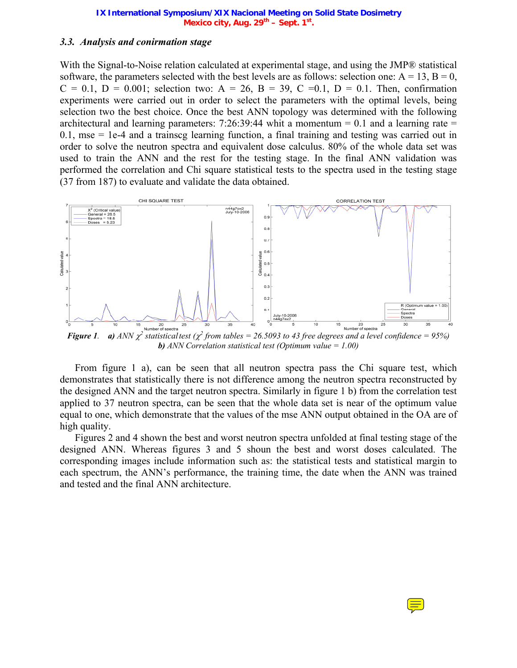### *3.3. Analysis and conirmation stage*

With the Signal-to-Noise relation calculated at experimental stage, and using the JMP® statistical software, the parameters selected with the best levels are as follows: selection one:  $A = 13$ ,  $B = 0$ ,  $C = 0.1$ ,  $D = 0.001$ ; selection two:  $A = 26$ ,  $B = 39$ ,  $C = 0.1$ ,  $D = 0.1$ . Then, confirmation experiments were carried out in order to select the parameters with the optimal levels, being selection two the best choice. Once the best ANN topology was determined with the following architectural and learning parameters: 7:26:39:44 whit a momentum  $= 0.1$  and a learning rate  $=$  $0.1$ , mse  $= 1e-4$  and a trainscg learning function, a final training and testing was carried out in order to solve the neutron spectra and equivalent dose calculus. 80% of the whole data set was used to train the ANN and the rest for the testing stage. In the final ANN validation was performed the correlation and Chi square statistical tests to the spectra used in the testing stage (37 from 187) to evaluate and validate the data obtained.



*Figure 1. a)*  $ANN \chi^2$  statisticaltest ( $\chi^2$  from tables = 26.5093 to 43 free degrees and a level confidence = 95%) *b) ANN Correlation statistical test (Optimum value = 1.00)* 

From figure 1 a), can be seen that all neutron spectra pass the Chi square test, which demonstrates that statistically there is not difference among the neutron spectra reconstructed by the designed ANN and the target neutron spectra. Similarly in figure 1 b) from the correlation test applied to 37 neutron spectra, can be seen that the whole data set is near of the optimum value equal to one, which demonstrate that the values of the mse ANN output obtained in the OA are of high quality.

Figures 2 and 4 shown the best and worst neutron spectra unfolded at final testing stage of the designed ANN. Whereas figures 3 and 5 shoun the best and worst doses calculated. The corresponding images include information such as: the statistical tests and statistical margin to each spectrum, the ANN's performance, the training time, the date when the ANN was trained and tested and the final ANN architecture.

 $\equiv$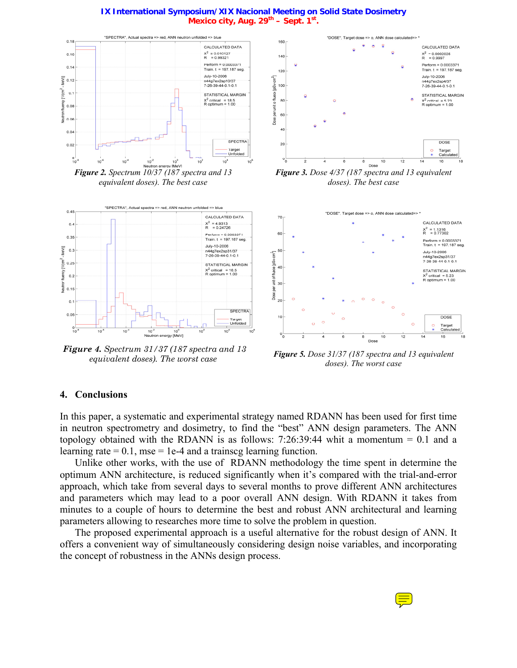

*Figure 2. Spectrum 10/37 (187 spectra and 13 equivalent doses). The best case* 



*Figure 4. Spectrum 31/37 (187 spectra and 13* 



*Figure 3. Dose 4/37 (187 spectra and 13 equivalent doses). The best case* 



*equivalent doses). The worst case Figure 5. Dose 31/37 (187 spectra and 13 equivalent doses). The worst case*

### **4. Conclusions**

In this paper, a systematic and experimental strategy named RDANN has been used for first time in neutron spectrometry and dosimetry, to find the "best" ANN design parameters. The ANN topology obtained with the RDANN is as follows:  $7:26:39:44$  whit a momentum = 0.1 and a learning rate  $= 0.1$ , mse  $= 1e-4$  and a trainscg learning function.

Unlike other works, with the use of RDANN methodology the time spent in determine the optimum ANN architecture, is reduced significantly when it's compared with the trial-and-error approach, which take from several days to several months to prove different ANN architectures and parameters which may lead to a poor overall ANN design. With RDANN it takes from minutes to a couple of hours to determine the best and robust ANN architectural and learning parameters allowing to researches more time to solve the problem in question.

The proposed experimental approach is a useful alternative for the robust design of ANN. It offers a convenient way of simultaneously considering design noise variables, and incorporating the concept of robustness in the ANNs design process.



#### **IX International Symposium/XIX Nacional Meeting on Solid State Dosimetry**  Mexico city, Aug. 29<sup>th</sup> – Sept. 1st.